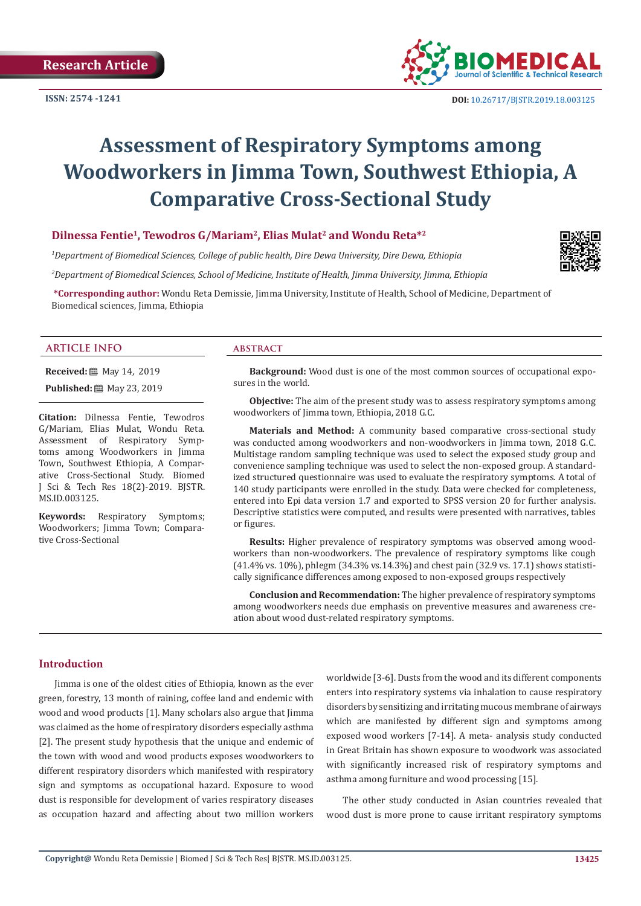**ISSN: 2574 -1241**



# **Assessment of Respiratory Symptoms among Woodworkers in Jimma Town, Southwest Ethiopia, A Comparative Cross-Sectional Study**

# **Dilnessa Fentie1, Tewodros G/Mariam2, Elias Mulat2 and Wondu Reta\*2**

*1 Department of Biomedical Sciences, College of public health, Dire Dewa University, Dire Dewa, Ethiopia*

*2 Department of Biomedical Sciences, School of Medicine, Institute of Health, Jimma University, Jimma, Ethiopia* 

**\*Corresponding author:** Wondu Reta Demissie, Jimma University, Institute of Health, School of Medicine, Department of Biomedical sciences, Jimma, Ethiopia

#### **ARTICLE INFO abstract**

**Received:** 圖 May 14, 2019

**Published:** 圖 May 23, 2019

**Citation:** Dilnessa Fentie, Tewodros G/Mariam, Elias Mulat, Wondu Reta. Assessment of Respiratory Symptoms among Woodworkers in Jimma Town, Southwest Ethiopia, A Comparative Cross-Sectional Study. Biomed J Sci & Tech Res 18(2)-2019. BJSTR. MS.ID.003125.

**Keywords:** Respiratory Symptoms; Woodworkers; Jimma Town; Comparative Cross-Sectional

**Background:** Wood dust is one of the most common sources of occupational exposures in the world.

**Objective:** The aim of the present study was to assess respiratory symptoms among woodworkers of Jimma town, Ethiopia, 2018 G.C.

**Materials and Method:** A community based comparative cross-sectional study was conducted among woodworkers and non-woodworkers in Jimma town, 2018 G.C. Multistage random sampling technique was used to select the exposed study group and convenience sampling technique was used to select the non-exposed group. A standardized structured questionnaire was used to evaluate the respiratory symptoms. A total of 140 study participants were enrolled in the study. Data were checked for completeness, entered into Epi data version 1.7 and exported to SPSS version 20 for further analysis. Descriptive statistics were computed, and results were presented with narratives, tables or figures.

**Results:** Higher prevalence of respiratory symptoms was observed among woodworkers than non-woodworkers. The prevalence of respiratory symptoms like cough (41.4% vs. 10%), phlegm (34.3% vs.14.3%) and chest pain (32.9 vs. 17.1) shows statistically significance differences among exposed to non-exposed groups respectively

**Conclusion and Recommendation:** The higher prevalence of respiratory symptoms among woodworkers needs due emphasis on preventive measures and awareness creation about wood dust-related respiratory symptoms.

### **Introduction**

Jimma is one of the oldest cities of Ethiopia, known as the ever green, forestry, 13 month of raining, coffee land and endemic with wood and wood products [1]. Many scholars also argue that Jimma was claimed as the home of respiratory disorders especially asthma [2]. The present study hypothesis that the unique and endemic of the town with wood and wood products exposes woodworkers to different respiratory disorders which manifested with respiratory sign and symptoms as occupational hazard. Exposure to wood dust is responsible for development of varies respiratory diseases as occupation hazard and affecting about two million workers

worldwide [3-6]. Dusts from the wood and its different components enters into respiratory systems via inhalation to cause respiratory disorders by sensitizing and irritating mucous membrane of airways which are manifested by different sign and symptoms among exposed wood workers [7-14]. A meta- analysis study conducted in Great Britain has shown exposure to woodwork was associated with significantly increased risk of respiratory symptoms and asthma among furniture and wood processing [15].

The other study conducted in Asian countries revealed that wood dust is more prone to cause irritant respiratory symptoms

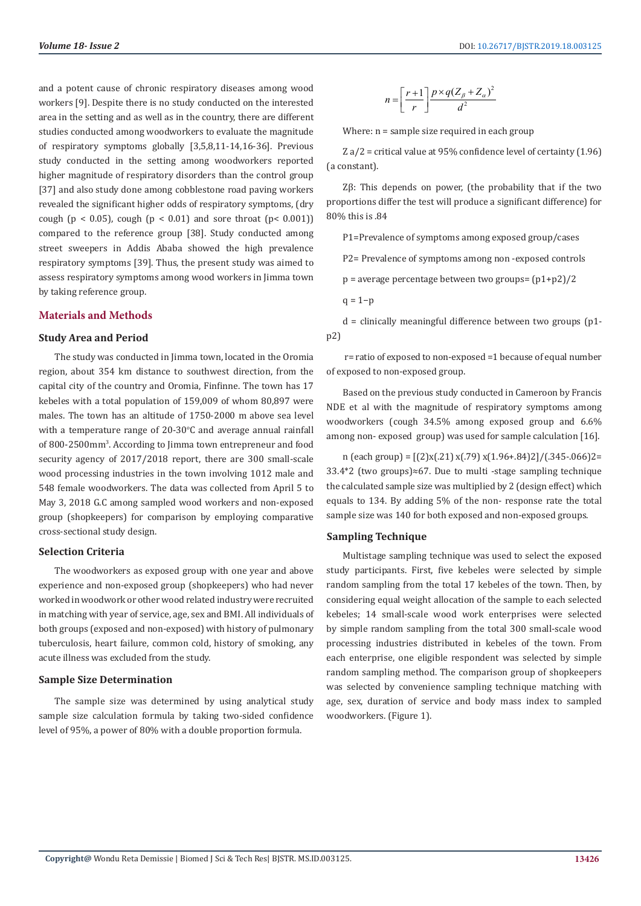and a potent cause of chronic respiratory diseases among wood workers [9]. Despite there is no study conducted on the interested area in the setting and as well as in the country, there are different studies conducted among woodworkers to evaluate the magnitude of respiratory symptoms globally [3,5,8,11-14,16-36]. Previous study conducted in the setting among woodworkers reported higher magnitude of respiratory disorders than the control group [37] and also study done among cobblestone road paving workers revealed the significant higher odds of respiratory symptoms, (dry cough ( $p < 0.05$ ), cough ( $p < 0.01$ ) and sore throat ( $p < 0.001$ )) compared to the reference group [38]. Study conducted among street sweepers in Addis Ababa showed the high prevalence respiratory symptoms [39]. Thus, the present study was aimed to assess respiratory symptoms among wood workers in Jimma town by taking reference group.

#### **Materials and Methods**

#### **Study Area and Period**

The study was conducted in Jimma town, located in the Oromia region, about 354 km distance to southwest direction, from the capital city of the country and Oromia, Finfinne. The town has 17 kebeles with a total population of 159,009 of whom 80,897 were males. The town has an altitude of 1750-2000 m above sea level with a temperature range of  $20$ -30°C and average annual rainfall of 800-2500mm3 . According to Jimma town entrepreneur and food security agency of 2017/2018 report, there are 300 small-scale wood processing industries in the town involving 1012 male and 548 female woodworkers. The data was collected from April 5 to May 3, 2018 G.C among sampled wood workers and non-exposed group (shopkeepers) for comparison by employing comparative cross-sectional study design.

#### **Selection Criteria**

The woodworkers as exposed group with one year and above experience and non-exposed group (shopkeepers) who had never worked in woodwork or other wood related industry were recruited in matching with year of service, age, sex and BMI. All individuals of both groups (exposed and non-exposed) with history of pulmonary tuberculosis, heart failure, common cold, history of smoking, any acute illness was excluded from the study.

#### **Sample Size Determination**

The sample size was determined by using analytical study sample size calculation formula by taking two-sided confidence level of 95%, a power of 80% with a double proportion formula.

$$
n = \left[\frac{r+1}{r}\right] \frac{p \times q (Z_{\beta} + Z_{\alpha})^2}{d^2}
$$

Where:  $n =$  sample size required in each group

Z a/2 = critical value at 95% confidence level of certainty (1.96) (a constant).

Zβ: This depends on power, (the probability that if the two proportions differ the test will produce a significant difference) for 80% this is .84

P1=Prevalence of symptoms among exposed group/cases

P2= Prevalence of symptoms among non -exposed controls

p = average percentage between two groups= (p1+p2)/2

 $q = 1-p$ 

 $d =$  clinically meaningful difference between two groups (p1p2)

 r= ratio of exposed to non-exposed =1 because of equal number of exposed to non-exposed group.

Based on the previous study conducted in Cameroon by Francis NDE et al with the magnitude of respiratory symptoms among woodworkers (cough 34.5% among exposed group and 6.6% among non- exposed group) was used for sample calculation [16].

n (each group) =  $[(2)x(.21)x(.79)x(1.96+.84)2]/(.345-.066)2=$ 33.4\*2 (two groups)≈67. Due to multi -stage sampling technique the calculated sample size was multiplied by 2 (design effect) which equals to 134. By adding 5% of the non- response rate the total sample size was 140 for both exposed and non-exposed groups.

#### **Sampling Technique**

Multistage sampling technique was used to select the exposed study participants. First, five kebeles were selected by simple random sampling from the total 17 kebeles of the town. Then, by considering equal weight allocation of the sample to each selected kebeles; 14 small-scale wood work enterprises were selected by simple random sampling from the total 300 small-scale wood processing industries distributed in kebeles of the town. From each enterprise, one eligible respondent was selected by simple random sampling method. The comparison group of shopkeepers was selected by convenience sampling technique matching with age, sex, duration of service and body mass index to sampled woodworkers. (Figure 1).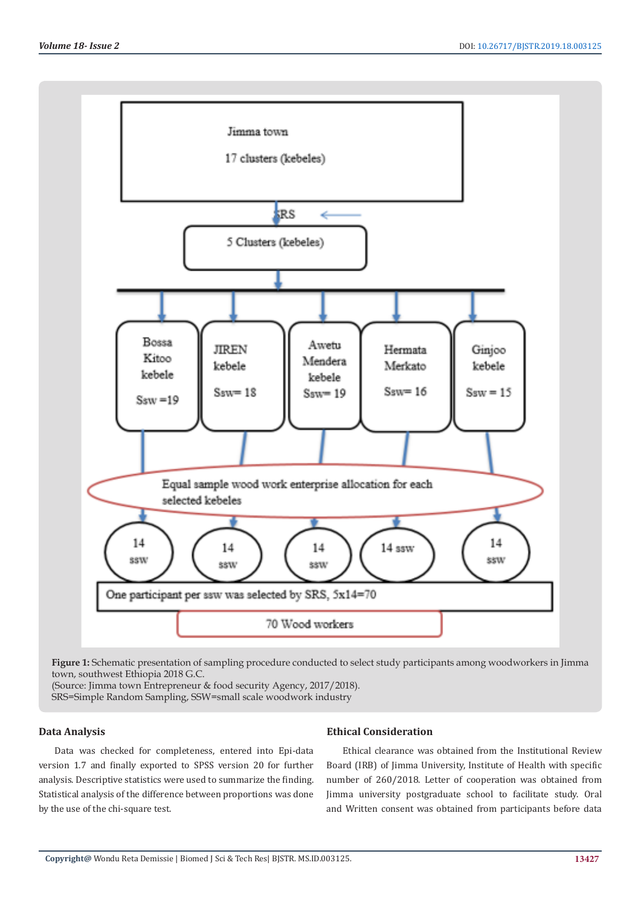

**Figure 1:** Schematic presentation of sampling procedure conducted to select study participants among woodworkers in Jimma town, southwest Ethiopia 2018 G.C.

(Source: Jimma town Entrepreneur & food security Agency, 2017/2018).

SRS=Simple Random Sampling, SSW=small scale woodwork industry

# **Data Analysis**

Data was checked for completeness, entered into Epi-data version 1.7 and finally exported to SPSS version 20 for further analysis. Descriptive statistics were used to summarize the finding. Statistical analysis of the difference between proportions was done by the use of the chi-square test.

# **Ethical Consideration**

Ethical clearance was obtained from the Institutional Review Board (IRB) of Jimma University, Institute of Health with specific number of 260/2018. Letter of cooperation was obtained from Jimma university postgraduate school to facilitate study. Oral and Written consent was obtained from participants before data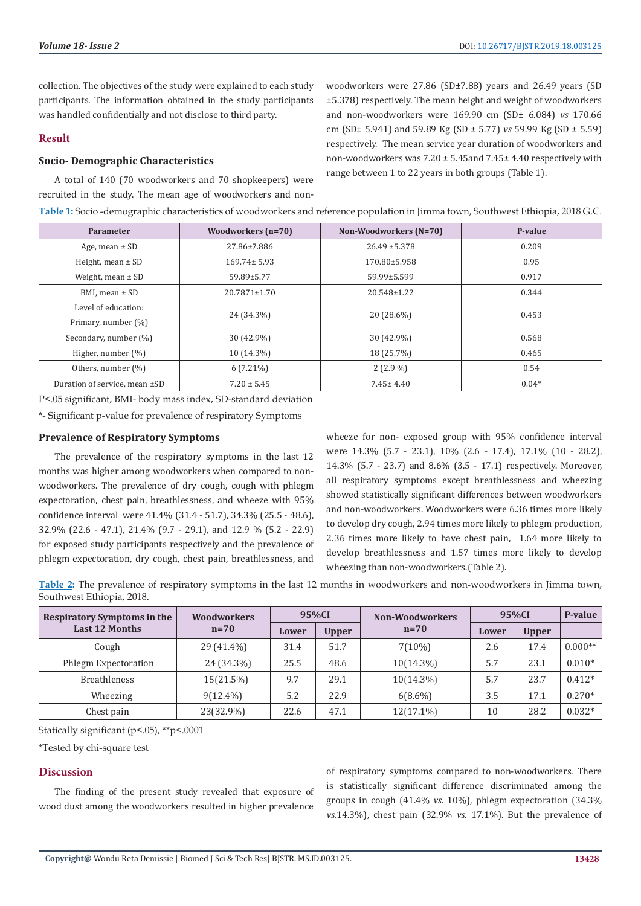collection. The objectives of the study were explained to each study participants. The information obtained in the study participants was handled confidentially and not disclose to third party.

### **Result**

# **Socio- Demographic Characteristics**

A total of 140 (70 woodworkers and 70 shopkeepers) were recruited in the study. The mean age of woodworkers and nonwoodworkers were 27.86 (SD±7.88) years and 26.49 years (SD ±5.378) respectively. The mean height and weight of woodworkers and non-woodworkers were 169.90 cm (SD± 6.084) *vs* 170.66 cm (SD± 5.941) and 59.89 Kg (SD ± 5.77) *vs* 59.99 Kg (SD ± 5.59) respectively. The mean service year duration of woodworkers and non-woodworkers was 7.20 ± 5.45and 7.45± 4.40 respectively with range between 1 to 22 years in both groups (Table 1).

| Parameter                     | Woodworkers (n=70) | Non-Woodworkers (N=70) | P-value |  |  |
|-------------------------------|--------------------|------------------------|---------|--|--|
| Age, mean $\pm$ SD            | 27.86±7.886        | $26.49 \pm 5.378$      | 0.209   |  |  |
| Height, mean $\pm$ SD         | $169.74 \pm 5.93$  | 170.80±5.958           | 0.95    |  |  |
| Weight, mean $\pm$ SD         | 59.89±5.77         | 59.99±5.599            | 0.917   |  |  |
| BMI, mean $\pm$ SD            | $20.7871 \pm 1.70$ | 20.548±1.22            | 0.344   |  |  |
| Level of education:           |                    |                        | 0.453   |  |  |
| Primary, number (%)           | 24 (34.3%)         | 20 (28.6%)             |         |  |  |
| Secondary, number (%)         | 30 (42.9%)         | 30 (42.9%)             | 0.568   |  |  |
| Higher, number (%)            | 10 (14.3%)         | 18 (25.7%)             | 0.465   |  |  |
| Others, number (%)            | $6(7.21\%)$        | $2(2.9\%)$             | 0.54    |  |  |
| Duration of service, mean ±SD | $7.20 \pm 5.45$    | $7.45 \pm 4.40$        | $0.04*$ |  |  |

**Table 1:** Socio -demographic characteristics of woodworkers and reference population in Jimma town, Southwest Ethiopia, 2018 G.C.

P<.05 significant, BMI- body mass index, SD-standard deviation

\*- Significant p-value for prevalence of respiratory Symptoms

### **Prevalence of Respiratory Symptoms**

The prevalence of the respiratory symptoms in the last 12 months was higher among woodworkers when compared to nonwoodworkers. The prevalence of dry cough, cough with phlegm expectoration, chest pain, breathlessness, and wheeze with 95% confidence interval were 41.4% (31.4 - 51.7), 34.3% (25.5 - 48.6), 32.9% (22.6 - 47.1), 21.4% (9.7 - 29.1), and 12.9 % (5.2 - 22.9) for exposed study participants respectively and the prevalence of phlegm expectoration, dry cough, chest pain, breathlessness, and

wheeze for non- exposed group with 95% confidence interval were 14.3% (5.7 - 23.1), 10% (2.6 - 17.4), 17.1% (10 - 28.2), 14.3% (5.7 - 23.7) and 8.6% (3.5 - 17.1) respectively. Moreover, all respiratory symptoms except breathlessness and wheezing showed statistically significant differences between woodworkers and non-woodworkers. Woodworkers were 6.36 times more likely to develop dry cough, 2.94 times more likely to phlegm production, 2.36 times more likely to have chest pain, 1.64 more likely to develop breathlessness and 1.57 times more likely to develop wheezing than non-woodworkers.(Table 2).

**Table 2:** The prevalence of respiratory symptoms in the last 12 months in woodworkers and non-woodworkers in Jimma town, Southwest Ethiopia, 2018.

| <b>Respiratory Symptoms in the</b><br><b>Last 12 Months</b> | <b>Woodworkers</b><br>$n=70$ | 95%CI |              | Non-Woodworkers | 95%CI |              | P-value   |
|-------------------------------------------------------------|------------------------------|-------|--------------|-----------------|-------|--------------|-----------|
|                                                             |                              | Lower | <b>Upper</b> | $n=70$          | Lower | <b>Upper</b> |           |
| Cough                                                       | 29 (41.4%)                   | 31.4  | 51.7         | $7(10\%)$       | 2.6   | 17.4         | $0.000**$ |
| Phlegm Expectoration                                        | 24 (34.3%)                   | 25.5  | 48.6         | $10(14.3\%)$    | 5.7   | 23.1         | $0.010*$  |
| <b>Breathleness</b>                                         | $15(21.5\%)$                 | 9.7   | 29.1         | $10(14.3\%)$    | 5.7   | 23.7         | $0.412*$  |
| Wheezing                                                    | $9(12.4\%)$                  | 5.2   | 22.9         | $6(8.6\%)$      | 3.5   | 17.1         | $0.270*$  |
| Chest pain                                                  | 23(32.9%)                    | 22.6  | 47.1         | $12(17.1\%)$    | 10    | 28.2         | $0.032*$  |

Statically significant (p<.05), \*\*p<.0001

\*Tested by chi-square test

# **Discussion**

The finding of the present study revealed that exposure of wood dust among the woodworkers resulted in higher prevalence

of respiratory symptoms compared to non-woodworkers. There is statistically significant difference discriminated among the groups in cough (41.4% *vs.* 10%), phlegm expectoration (34.3% *vs.*14.3%), chest pain (32.9% *vs.* 17.1%). But the prevalence of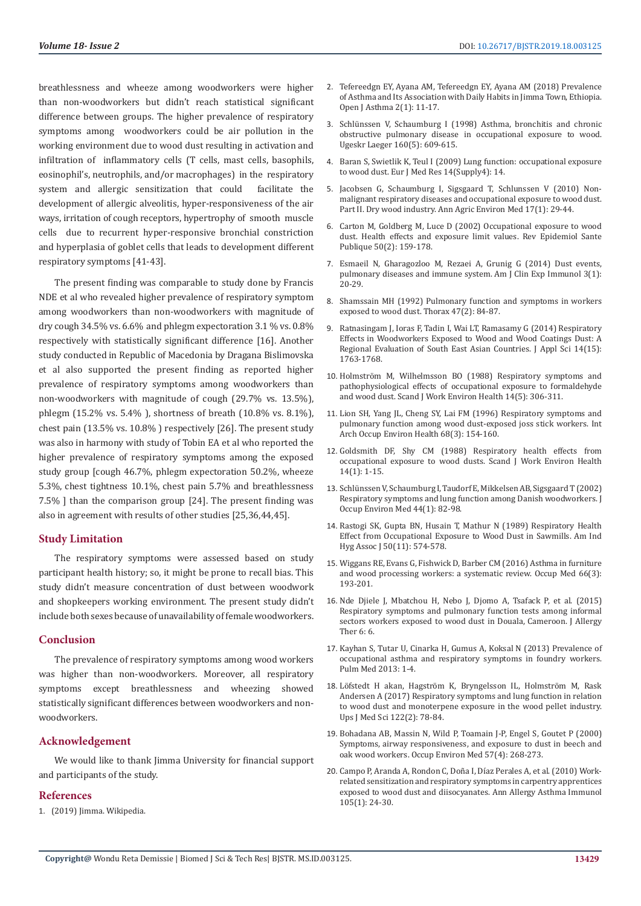breathlessness and wheeze among woodworkers were higher than non-woodworkers but didn't reach statistical significant difference between groups. The higher prevalence of respiratory symptoms among woodworkers could be air pollution in the working environment due to wood dust resulting in activation and infiltration of inflammatory cells (T cells, mast cells, basophils, eosinophil's, neutrophils, and/or macrophages) in the respiratory system and allergic sensitization that could facilitate the development of allergic alveolitis, hyper-responsiveness of the air ways, irritation of cough receptors, hypertrophy of smooth muscle cells due to recurrent hyper-responsive bronchial constriction and hyperplasia of goblet cells that leads to development different respiratory symptoms [41-43].

The present finding was comparable to study done by Francis NDE et al who revealed higher prevalence of respiratory symptom among woodworkers than non-woodworkers with magnitude of dry cough 34.5% vs.  $6.6\%$  and phlegm expectoration 3.1 % vs.  $0.8\%$ respectively with statistically significant difference [16]. Another study conducted in Republic of Macedonia by Dragana Bislimovska et al also supported the present finding as reported higher prevalence of respiratory symptoms among woodworkers than non-woodworkers with magnitude of cough (29.7% vs. 13.5%), phlegm (15.2% vs. 5.4% ), shortness of breath (10.8% vs. 8.1%), chest pain (13.5% vs. 10.8% ) respectively [26]. The present study was also in harmony with study of Tobin EA et al who reported the higher prevalence of respiratory symptoms among the exposed study group [cough 46.7%, phlegm expectoration 50.2%, wheeze 5.3%, chest tightness 10.1%, chest pain 5.7% and breathlessness 7.5% ] than the comparison group [24]. The present finding was also in agreement with results of other studies [25,36,44,45].

#### **Study Limitation**

The respiratory symptoms were assessed based on study participant health history; so, it might be prone to recall bias. This study didn't measure concentration of dust between woodwork and shopkeepers working environment. The present study didn't include both sexes because of unavailability of female woodworkers.

# **Conclusion**

The prevalence of respiratory symptoms among wood workers was higher than non-woodworkers. Moreover, all respiratory symptoms except breathlessness and wheezing showed statistically significant differences between woodworkers and nonwoodworkers.

# **Acknowledgement**

We would like to thank Jimma University for financial support and participants of the study.

#### **References**

1. (2019) Jimma. Wikipedia.

- 2. [Tefereedgn EY, Ayana AM, Tefereedgn EY, Ayana AM \(2018\) Prevalence](https://www.peertechz.com/articles/OJA-2-109.php) [of Asthma and Its Association with Daily Habits in Jimma Town, Ethiopia.](https://www.peertechz.com/articles/OJA-2-109.php) [Open J Asthma 2\(1\): 11-17.](https://www.peertechz.com/articles/OJA-2-109.php)
- 3. [Schlünssen V, Schaumburg I \(1998\) Asthma, bronchitis and chronic](https://www.ncbi.nlm.nih.gov/pubmed/9470465) [obstructive pulmonary disease in occupational exposure to wood.](https://www.ncbi.nlm.nih.gov/pubmed/9470465) [Ugeskr Laeger 160\(5\): 609-615.](https://www.ncbi.nlm.nih.gov/pubmed/9470465)
- 4. [Baran S, Swietlik K, Teul I \(2009\) Lung function: occupational exposure](https://www.ncbi.nlm.nih.gov/pmc/articles/PMC3521335/) [to wood dust. Eur J Med Res 14\(Supply4\): 14.](https://www.ncbi.nlm.nih.gov/pmc/articles/PMC3521335/)
- 5. [Jacobsen G, Schaumburg I, Sigsgaard T, Schlunssen V \(2010\) Non](https://www.ncbi.nlm.nih.gov/pubmed/20684478)[malignant respiratory diseases and occupational exposure to wood dust.](https://www.ncbi.nlm.nih.gov/pubmed/20684478) [Part II. Dry wood industry. Ann Agric Environ Med 17\(1\): 29-44.](https://www.ncbi.nlm.nih.gov/pubmed/20684478)
- 6. [Carton M, Goldberg M, Luce D \(2002\) Occupational exposure to wood](https://www.ncbi.nlm.nih.gov/pubmed/12011734) [dust. Health effects and exposure limit values. Rev Epidemiol Sante](https://www.ncbi.nlm.nih.gov/pubmed/12011734) [Publique 50\(2\): 159-178.](https://www.ncbi.nlm.nih.gov/pubmed/12011734)
- 7. [Esmaeil N, Gharagozloo M, Rezaei A, Grunig G \(2014\) Dust events,](https://www.ncbi.nlm.nih.gov/pmc/articles/PMC3960758/) [pulmonary diseases and immune system. Am J Clin Exp Immunol 3\(1\):](https://www.ncbi.nlm.nih.gov/pmc/articles/PMC3960758/) [20-29.](https://www.ncbi.nlm.nih.gov/pmc/articles/PMC3960758/)
- 8. [Shamssain MH \(1992\) Pulmonary function and symptoms in workers](https://www.ncbi.nlm.nih.gov/pmc/articles/PMC463576/) [exposed to wood dust. Thorax 47\(2\): 84-87.](https://www.ncbi.nlm.nih.gov/pmc/articles/PMC463576/)
- 9. [Ratnasingam J, Ioras F, Tadin I, Wai LT, Ramasamy G \(2014\) Respiratory](https://scialert.net/fulltextmobile/?doi=jas.2014.1763.1768) [Effects in Woodworkers Exposed to Wood and Wood Coatings Dust: A](https://scialert.net/fulltextmobile/?doi=jas.2014.1763.1768) [Regional Evaluation of South East Asian Countries. J Appl Sci 14\(15\):](https://scialert.net/fulltextmobile/?doi=jas.2014.1763.1768) [1763-1768.](https://scialert.net/fulltextmobile/?doi=jas.2014.1763.1768)
- 10. [Holmström M, Wilhelmsson BO \(1988\) Respiratory symptoms and](https://www.ncbi.nlm.nih.gov/pubmed/3201190) [pathophysiological effects of occupational exposure to formaldehyde](https://www.ncbi.nlm.nih.gov/pubmed/3201190) [and wood dust. Scand J Work Environ Health 14\(5\): 306-311.](https://www.ncbi.nlm.nih.gov/pubmed/3201190)
- 11. [Lion SH, Yang JL, Cheng SY, Lai FM \(1996\) Respiratory symptoms and](https://www.ncbi.nlm.nih.gov/pubmed/8919842) [pulmonary function among wood dust-exposed joss stick workers. Int](https://www.ncbi.nlm.nih.gov/pubmed/8919842) [Arch Occup Environ Health 68\(3\): 154-160.](https://www.ncbi.nlm.nih.gov/pubmed/8919842)
- 12. [Goldsmith DF, Shy CM \(1988\) Respiratory health effects from](https://www.ncbi.nlm.nih.gov/pubmed/3281247) [occupational exposure to wood dusts. Scand J Work Environ Health](https://www.ncbi.nlm.nih.gov/pubmed/3281247) [14\(1\): 1-15.](https://www.ncbi.nlm.nih.gov/pubmed/3281247)
- 13. [Schlünssen V, Schaumburg I, Taudorf E, Mikkelsen AB, Sigsgaard T \(2002\)](https://www.ncbi.nlm.nih.gov/pubmed/11802471) [Respiratory symptoms and lung function among Danish woodworkers. J](https://www.ncbi.nlm.nih.gov/pubmed/11802471) [Occup Environ Med 44\(1\): 82-98.](https://www.ncbi.nlm.nih.gov/pubmed/11802471)
- 14. [Rastogi SK, Gupta BN, Husain T, Mathur N \(1989\) Respiratory Health](https://www.ncbi.nlm.nih.gov/pubmed/2596398) [Effect from Occupational Exposure to Wood Dust in Sawmills. Am Ind](https://www.ncbi.nlm.nih.gov/pubmed/2596398) [Hyg Assoc J 50\(11\): 574-578.](https://www.ncbi.nlm.nih.gov/pubmed/2596398)
- 15. [Wiggans RE, Evans G, Fishwick D, Barber CM \(2016\) Asthma in furniture](https://www.ncbi.nlm.nih.gov/pubmed/26482167) [and wood processing workers: a systematic review. Occup Med 66\(3\):](https://www.ncbi.nlm.nih.gov/pubmed/26482167) [193-201.](https://www.ncbi.nlm.nih.gov/pubmed/26482167)
- 16. [Nde Djiele J, Mbatchou H, Nebo J, Djomo A, Tsafack P, et al. \(2015\)](https://www.longdom.org/open-access/respiratory-symptoms-and-pulmonary-function-tests-among-informalsector-workers-exposed-to-wood-dust-in-douala-cameroon-2155-6121-1000225.pdf) [Respiratory symptoms and pulmonary function tests among informal](https://www.longdom.org/open-access/respiratory-symptoms-and-pulmonary-function-tests-among-informalsector-workers-exposed-to-wood-dust-in-douala-cameroon-2155-6121-1000225.pdf) [sectors workers exposed to wood dust in Douala, Cameroon. J Allergy](https://www.longdom.org/open-access/respiratory-symptoms-and-pulmonary-function-tests-among-informalsector-workers-exposed-to-wood-dust-in-douala-cameroon-2155-6121-1000225.pdf) [Ther 6: 6.](https://www.longdom.org/open-access/respiratory-symptoms-and-pulmonary-function-tests-among-informalsector-workers-exposed-to-wood-dust-in-douala-cameroon-2155-6121-1000225.pdf)
- 17. [Kayhan S, Tutar U, Cinarka H, Gumus A, Koksal N \(2013\) Prevalence of](https://www.hindawi.com/journals/pm/2013/370138/) [occupational asthma and respiratory symptoms in foundry workers.](https://www.hindawi.com/journals/pm/2013/370138/) [Pulm Med 2013: 1-4.](https://www.hindawi.com/journals/pm/2013/370138/)
- 18. [Löfstedt H akan, Hagström K, Bryngelsson IL, Holmström M, Rask](https://www.ncbi.nlm.nih.gov/pubmed/28276782) [Andersen A \(2017\) Respiratory symptoms and lung function in relation](https://www.ncbi.nlm.nih.gov/pubmed/28276782) [to wood dust and monoterpene exposure in the wood pellet industry.](https://www.ncbi.nlm.nih.gov/pubmed/28276782) [Ups J Med Sci 122\(2\): 78-84.](https://www.ncbi.nlm.nih.gov/pubmed/28276782)
- 19. [Bohadana AB, Massin N, Wild P, Toamain J-P, Engel S, Goutet P \(2000\)](https://www.ncbi.nlm.nih.gov/pubmed/10810114) [Symptoms, airway responsiveness, and exposure to dust in beech and](https://www.ncbi.nlm.nih.gov/pubmed/10810114) [oak wood workers. Occup Environ Med 57\(4\): 268-273.](https://www.ncbi.nlm.nih.gov/pubmed/10810114)
- 20. [Campo P, Aranda A, Rondon C, Doña I, Díaz Perales A, et al. \(2010\) Work](https://www.ncbi.nlm.nih.gov/pubmed/20642200)[related sensitization and respiratory symptoms in carpentry apprentices](https://www.ncbi.nlm.nih.gov/pubmed/20642200) [exposed to wood dust and diisocyanates. Ann Allergy Asthma Immunol](https://www.ncbi.nlm.nih.gov/pubmed/20642200) [105\(1\): 24-30.](https://www.ncbi.nlm.nih.gov/pubmed/20642200)